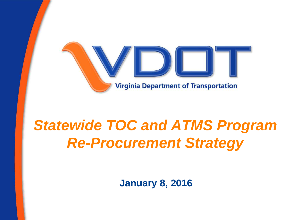

# *Statewide TOC and ATMS Program Re-Procurement Strategy*

**January 8, 2016**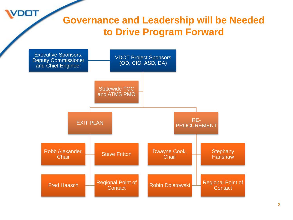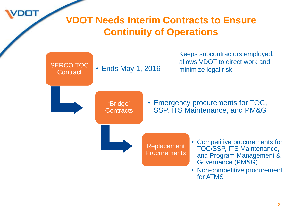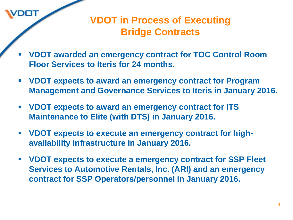

#### **VDOT in Process of Executing Bridge Contracts**

- **VDOT awarded an emergency contract for TOC Control Room Floor Services to Iteris for 24 months.**
- **VDOT expects to award an emergency contract for Program Management and Governance Services to Iteris in January 2016.**
- **VDOT expects to award an emergency contract for ITS Maintenance to Elite (with DTS) in January 2016.**
- **VDOT expects to execute an emergency contract for highavailability infrastructure in January 2016.**
- **VDOT expects to execute a emergency contract for SSP Fleet Services to Automotive Rentals, Inc. (ARI) and an emergency contract for SSP Operators/personnel in January 2016.**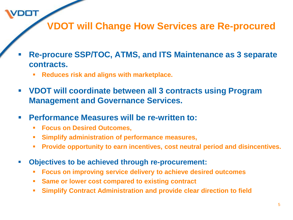**VDOT will Change How Services are Re-procured**

- **Re-procure SSP/TOC, ATMS, and ITS Maintenance as 3 separate contracts.**
	- **Reduces risk and aligns with marketplace.**
- **VDOT will coordinate between all 3 contracts using Program Management and Governance Services.**
- **Performance Measures will be re-written to:**
	- **Focus on Desired Outcomes,**

- **Simplify administration of performance measures,**
- **Provide opportunity to earn incentives, cost neutral period and disincentives.**
- **Objectives to be achieved through re-procurement:**
	- **Focus on improving service delivery to achieve desired outcomes**
	- **Same or lower cost compared to existing contract**
	- **Simplify Contract Administration and provide clear direction to field**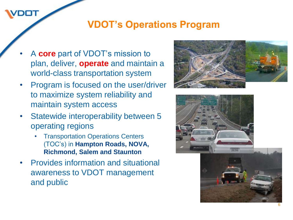#### **VDOT's Operations Program**

- A **core** part of VDOT's mission to plan, deliver, **operate** and maintain a world-class transportation system
- Program is focused on the user/driver to maximize system reliability and maintain system access
- Statewide interoperability between 5 operating regions
	- **Transportation Operations Centers** (TOC's) in **Hampton Roads, NOVA, Richmond, Salem and Staunton**
- Provides information and situational awareness to VDOT management and public



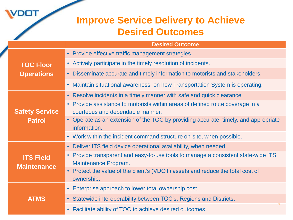|  |                                        | <b>Improve Service Delivery to Achieve</b><br><b>Desired Outcomes</b>                                                        |
|--|----------------------------------------|------------------------------------------------------------------------------------------------------------------------------|
|  |                                        | <b>Desired Outcome</b>                                                                                                       |
|  | <b>TOC Floor</b><br><b>Operations</b>  | • Provide effective traffic management strategies.                                                                           |
|  |                                        | • Actively participate in the timely resolution of incidents.                                                                |
|  |                                        | • Disseminate accurate and timely information to motorists and stakeholders.                                                 |
|  |                                        | • Maintain situational awareness on how Transportation System is operating.                                                  |
|  | <b>Safety Service</b><br><b>Patrol</b> | • Resolve incidents in a timely manner with safe and quick clearance.                                                        |
|  |                                        | Provide assistance to motorists within areas of defined route coverage in a<br>$\bullet$<br>courteous and dependable manner. |
|  |                                        | • Operate as an extension of the TOC by providing accurate, timely, and appropriate<br>information.                          |
|  |                                        | • Work within the incident command structure on-site, when possible.                                                         |
|  | <b>ITS Field</b><br><b>Maintenance</b> | • Deliver ITS field device operational availability, when needed.                                                            |
|  |                                        | • Provide transparent and easy-to-use tools to manage a consistent state-wide ITS<br>Maintenance Program.                    |
|  |                                        | • Protect the value of the client's (VDOT) assets and reduce the total cost of<br>ownership.                                 |
|  | <b>ATMS</b>                            | • Enterprise approach to lower total ownership cost.                                                                         |
|  |                                        | • Statewide interoperability between TOC's, Regions and Districts.                                                           |
|  |                                        | $\overline{7}$<br>• Facilitate ability of TOC to achieve desired outcomes.                                                   |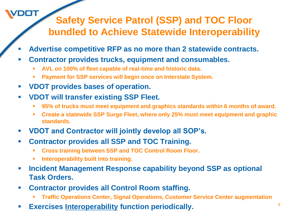### **Safety Service Patrol (SSP) and TOC Floor bundled to Achieve Statewide Interoperability**

- **Advertise competitive RFP as no more than 2 statewide contracts.**
- **Contractor provides trucks, equipment and consumables.**
	- **AVL on 100% of fleet capable of real-time and historic data.**
	- **Payment for SSP services will begin once on Interstate System.**
- **VDOT provides bases of operation.**

- **VDOT will transfer existing SSP Fleet.**
	- **95% of trucks must meet equipment and graphics standards within 6 months of award.**
	- **Create a statewide SSP Surge Fleet, where only 25% must meet equipment and graphic standards.**
- **VDOT and Contractor will jointly develop all SOP's.**
- **Contractor provides all SSP and TOC Training.**
	- **Cross training between SSP and TOC Control Room Floor.**
	- **Interoperability built into training.**
- **Incident Management Response capability beyond SSP as optional Task Orders.**
- **Contractor provides all Control Room staffing.**
	- **Traffic Operations Center, Signal Operations, Customer Service Center augmentation**
- **Exercises Interoperability function periodically.** <sup>8</sup>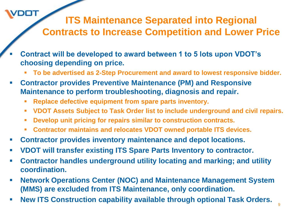### **ITS Maintenance Separated into Regional Contracts to Increase Competition and Lower Price**

- **Contract will be developed to award between 1 to 5 lots upon VDOT's choosing depending on price.**
	- **To be advertised as 2-Step Procurement and award to lowest responsive bidder.**
- **Contractor provides Preventive Maintenance (PM) and Responsive Maintenance to perform troubleshooting, diagnosis and repair.**
	- **Replace defective equipment from spare parts inventory.**

- **VDOT Assets Subject to Task Order list to include underground and civil repairs.**
- **Develop unit pricing for repairs similar to construction contracts.**
- **Contractor maintains and relocates VDOT owned portable ITS devices.**
- **Contractor provides inventory maintenance and depot locations.**
- **VDOT will transfer existing ITS Spare Parts Inventory to contractor.**
- **Contractor handles underground utility locating and marking; and utility coordination.**
- **Network Operations Center (NOC) and Maintenance Management System (MMS) are excluded from ITS Maintenance, only coordination.**
- **New ITS Construction capability available through optional Task Orders.**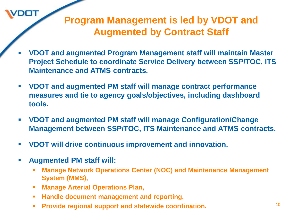#### **Program Management is led by VDOT and Augmented by Contract Staff**

- **VDOT and augmented Program Management staff will maintain Master Project Schedule to coordinate Service Delivery between SSP/TOC, ITS Maintenance and ATMS contracts.**
- **VDOT and augmented PM staff will manage contract performance measures and tie to agency goals/objectives, including dashboard tools.**
- **VDOT and augmented PM staff will manage Configuration/Change Management between SSP/TOC, ITS Maintenance and ATMS contracts.**
- **VDOT will drive continuous improvement and innovation.**
- **Augmented PM staff will:**

 $DT$ 

- **Manage Network Operations Center (NOC) and Maintenance Management System (MMS),**
- **Manage Arterial Operations Plan,**
- **Handle document management and reporting,**
- **Provide regional support and statewide coordination.** The mass of  $10$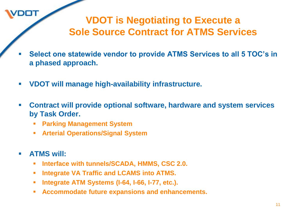#### **VDOT is Negotiating to Execute a Sole Source Contract for ATMS Services**

- **Select one statewide vendor to provide ATMS Services to all 5 TOC's in a phased approach.**
- **VDOT will manage high-availability infrastructure.**
- **Contract will provide optional software, hardware and system services by Task Order.**
	- **Parking Management System**
	- **Arterial Operations/Signal System**
- **ATMS will:**

דםכ

- **Interface with tunnels/SCADA, HMMS, CSC 2.0.**
- **Integrate VA Traffic and LCAMS into ATMS.**
- **Integrate ATM Systems (I-64, I-66, I-77, etc.).**
- **Accommodate future expansions and enhancements.**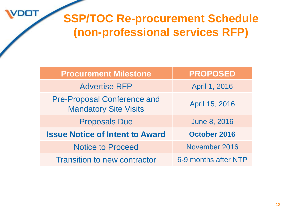DOT

# **SSP/TOC Re-procurement Schedule (non-professional services RFP)**

| <b>Procurement Milestone</b>                                       | <b>PROPOSED</b>      |
|--------------------------------------------------------------------|----------------------|
| <b>Advertise RFP</b>                                               | April 1, 2016        |
| <b>Pre-Proposal Conference and</b><br><b>Mandatory Site Visits</b> | April 15, 2016       |
| <b>Proposals Due</b>                                               | <b>June 8, 2016</b>  |
| <b>Issue Notice of Intent to Award</b>                             | <b>October 2016</b>  |
| <b>Notice to Proceed</b>                                           | November 2016        |
| <b>Transition to new contractor</b>                                | 6-9 months after NTP |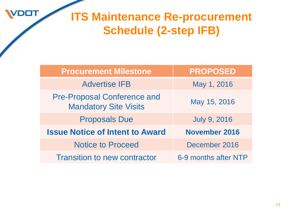

# **ITS Maintenance Re-procurement Schedule (2-step IFB)**

| <b>Procurement Milestone</b>                                       | <b>PROPOSED</b>      |
|--------------------------------------------------------------------|----------------------|
| <b>Advertise IFB</b>                                               | May 1, 2016          |
| <b>Pre-Proposal Conference and</b><br><b>Mandatory Site Visits</b> | May 15, 2016         |
| <b>Proposals Due</b>                                               | <b>July 9, 2016</b>  |
| <b>Issue Notice of Intent to Award</b>                             | <b>November 2016</b> |
| <b>Notice to Proceed</b>                                           | December 2016        |
| <b>Transition to new contractor</b>                                | 6-9 months after NTP |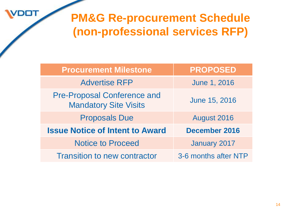**DOT** 

# **PM&G Re-procurement Schedule (non-professional services RFP)**

| <b>Procurement Milestone</b>                                       | <b>PROPOSED</b>      |
|--------------------------------------------------------------------|----------------------|
| <b>Advertise RFP</b>                                               | <b>June 1, 2016</b>  |
| <b>Pre-Proposal Conference and</b><br><b>Mandatory Site Visits</b> | June 15, 2016        |
| <b>Proposals Due</b>                                               | August 2016          |
| <b>Issue Notice of Intent to Award</b>                             | <b>December 2016</b> |
| <b>Notice to Proceed</b>                                           | January 2017         |
| <b>Transition to new contractor</b>                                | 3-6 months after NTP |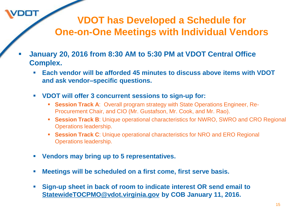#### **VDOT has Developed a Schedule for One-on-One Meetings with Individual Vendors**

- **January 20, 2016 from 8:30 AM to 5:30 PM at VDOT Central Office Complex.**
	- **Each vendor will be afforded 45 minutes to discuss above items with VDOT and ask vendor–specific questions.**
	- **VDOT will offer 3 concurrent sessions to sign-up for:**
		- **Session Track A**: Overall program strategy with State Operations Engineer, Re-Procurement Chair, and CIO (Mr. Gustafson, Mr. Cook, and Mr. Rao).
		- **Session Track B:** Unique operational characteristics for NWRO, SWRO and CRO Regional Operations leadership.
		- **Session Track C**: Unique operational characteristics for NRO and ERO Regional Operations leadership.
	- **Vendors may bring up to 5 representatives.**

- **Meetings will be scheduled on a first come, first serve basis.**
- **Sign-up sheet in back of room to indicate interest OR send email to [StatewideTOCPMO@vdot.virginia.gov](mailto:StatewideTOCPMO@vdot.virginia.gov) by COB January 11, 2016.**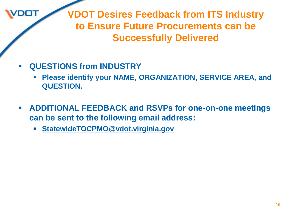**VDOT Desires Feedback from ITS Industry to Ensure Future Procurements can be Successfully Delivered**

**QUESTIONS from INDUSTRY**

דרמ

- **Please identify your NAME, ORGANIZATION, SERVICE AREA, and QUESTION.**
- **ADDITIONAL FEEDBACK and RSVPs for one-on-one meetings can be sent to the following email address:**
	- **[StatewideTOCPMO@vdot.virginia.gov](mailto:StatewideTOCPMO@vdot.virginia.gov)**